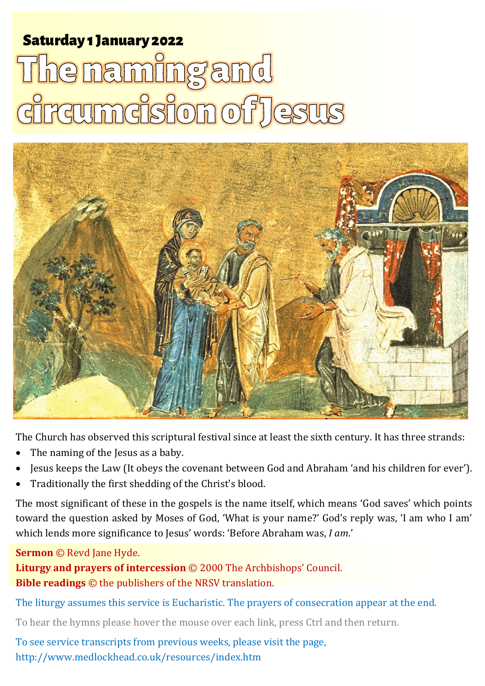# **Saturday 1 January 2022** The naming and umcision of J **ASHLE**



The Church has observed this scriptural festival since at least the sixth century. It has three strands:

- The naming of the Jesus as a baby.
- Jesus keeps the Law (It obeys the covenant between God and Abraham 'and his children for ever').
- Traditionally the first shedding of the Christ's blood.

The most significant of these in the gospels is the name itself, which means 'God saves' which points toward the question asked by Moses of God, 'What is your name?' God's reply was, 'I am who I am' which lends more significance to Jesus' words: 'Before Abraham was, *I am*.'

#### **Sermon** © Revd Jane Hyde.

**Liturgy and prayers of intercession** © 2000 The Archbishops' Council. **Bible readings** © the publishers of the NRSV translation.

The liturgy assumes this service is Eucharistic. The prayers of consecration appear at the end.

To hear the hymns please hover the mouse over each link, press Ctrl and then return.

To see service transcripts from previous weeks, please visit the page, <http://www.medlockhead.co.uk/resources/index.htm>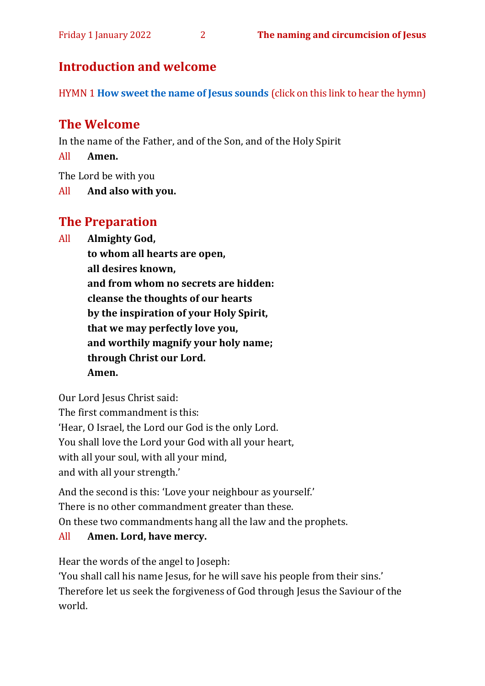# **Introduction and welcome**

HYMN 1 **[How sweet the name of Jesus](https://www.youtube.com/watch?v=NoPlwPUYWaw) sounds** (click on this link to hear the hymn)

# **The Welcome**

In the name of the Father, and of the Son, and of the Holy Spirit

All **Amen.**

The Lord be with you

All **And also with you.**

# **The Preparation**

All **Almighty God,**

**to whom all hearts are open, all desires known, and from whom no secrets are hidden: cleanse the thoughts of our hearts by the inspiration of your Holy Spirit, that we may perfectly love you, and worthily magnify your holy name; through Christ our Lord.** 

**Amen.**

Our Lord Jesus Christ said:

The first commandment is this:

'Hear, O Israel, the Lord our God is the only Lord.

You shall love the Lord your God with all your heart,

with all your soul, with all your mind,

and with all your strength.'

And the second is this: 'Love your neighbour as yourself.'

There is no other commandment greater than these.

On these two commandments hang all the law and the prophets.

#### All **Amen. Lord, have mercy.**

Hear the words of the angel to Joseph:

'You shall call his name Jesus, for he will save his people from their sins.' Therefore let us seek the forgiveness of God through Jesus the Saviour of the world.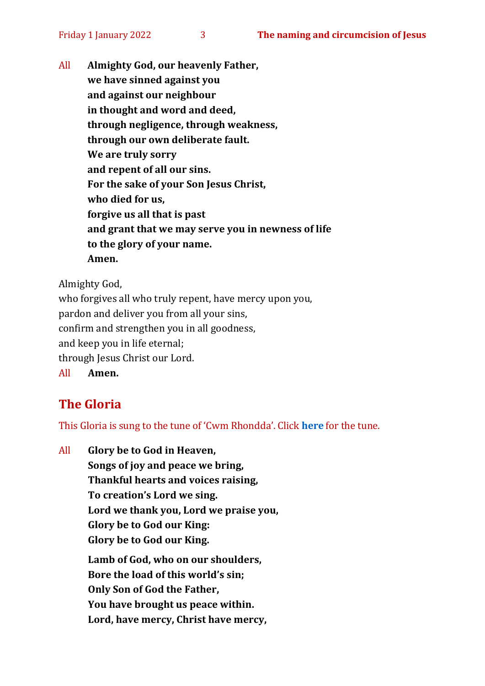All **Almighty God, our heavenly Father, we have sinned against you and against our neighbour in thought and word and deed, through negligence, through weakness, through our own deliberate fault. We are truly sorry and repent of all our sins. For the sake of your Son Jesus Christ, who died for us, forgive us all that is past and grant that we may serve you in newness of life to the glory of your name. Amen.**

Almighty God,

who forgives all who truly repent, have mercy upon you, pardon and deliver you from all your sins, confirm and strengthen you in all goodness, and keep you in life eternal; through Jesus Christ our Lord. All **Amen.**

# **The Gloria**

This Gloria is sung to the tune of 'Cwm Rhondda'. Click **[here](about:blank)** for the tune.

All **Glory be to God in Heaven, Songs of joy and peace we bring, Thankful hearts and voices raising, To creation's Lord we sing. Lord we thank you, Lord we praise you, Glory be to God our King: Glory be to God our King. Lamb of God, who on our shoulders, Bore the load of this world's sin; Only Son of God the Father, You have brought us peace within. Lord, have mercy, Christ have mercy,**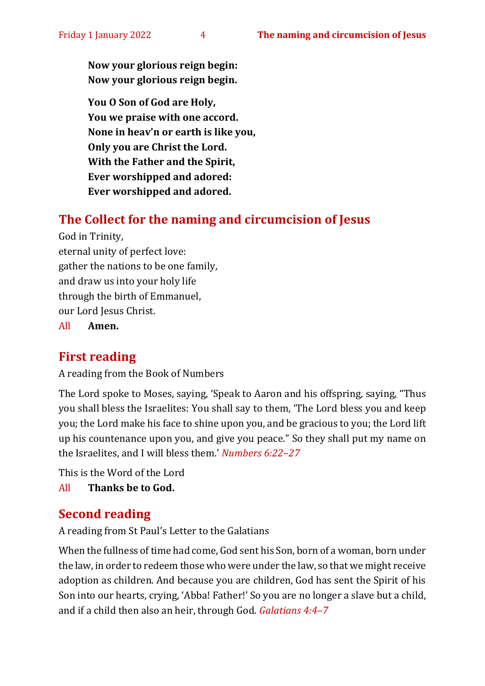**Now your glorious reign begin: Now your glorious reign begin.**

**You O Son of God are Holy, You we praise with one accord. None in heav'n or earth is like you, Only you are Christ the Lord. With the Father and the Spirit, Ever worshipped and adored: Ever worshipped and adored.**

## **The Collect for the naming and circumcision of Jesus**

God in Trinity, eternal unity of perfect love: gather the nations to be one family, and draw us into your holy life through the birth of Emmanuel, our Lord Jesus Christ.

All **Amen.**

#### **First reading**

A reading from the Book of Numbers

The Lord spoke to Moses, saying, 'Speak to Aaron and his offspring, saying, "Thus you shall bless the Israelites: You shall say to them, 'The Lord bless you and keep you; the Lord make his face to shine upon you, and be gracious to you; the Lord lift up his countenance upon you, and give you peace." So they shall put my name on the Israelites, and I will bless them.' *Numbers 6:22–27*

This is the Word of the Lord All **Thanks be to God.**

## **Second reading**

A reading from St Paul's Letter to the Galatians

When the fullness of time had come, God sent his Son, born of a woman, born under the law, in order to redeem those who were under the law, so that we might receive adoption as children. And because you are children, God has sent the Spirit of his Son into our hearts, crying, 'Abba! Father!' So you are no longer a slave but a child, and if a child then also an heir, through God. *Galatians 4:4–7*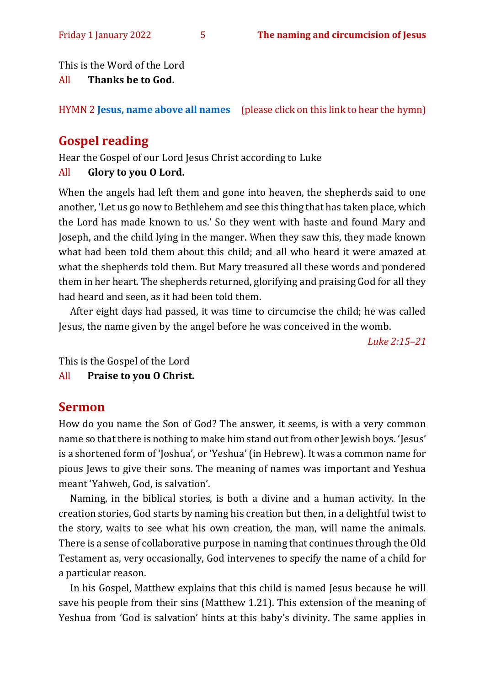This is the Word of the Lord

#### All **Thanks be to God.**

HYMN 2 **[Jesus, name above all names](https://www.youtube.com/watch?v=36-uu4TvOk4)** (please click on this link to hear the hymn)

# **Gospel reading**

Hear the Gospel of our Lord Jesus Christ according to Luke

#### All **Glory to you O Lord.**

When the angels had left them and gone into heaven, the shepherds said to one another, 'Let us go now to Bethlehem and see this thing that has taken place, which the Lord has made known to us.' So they went with haste and found Mary and Joseph, and the child lying in the manger. When they saw this, they made known what had been told them about this child; and all who heard it were amazed at what the shepherds told them. But Mary treasured all these words and pondered them in her heart. The shepherds returned, glorifying and praising God for all they had heard and seen, as it had been told them.

After eight days had passed, it was time to circumcise the child; he was called Jesus, the name given by the angel before he was conceived in the womb.

*Luke 2:15–21*

This is the Gospel of the Lord

All **Praise to you O Christ.** 

# **Sermon**

How do you name the Son of God? The answer, it seems, is with a very common name so that there is nothing to make him stand out from other Jewish boys. 'Jesus' is a shortened form of 'Joshua', or 'Yeshua' (in Hebrew). It was a common name for pious Jews to give their sons. The meaning of names was important and Yeshua meant 'Yahweh, God, is salvation'.

Naming, in the biblical stories, is both a divine and a human activity. In the creation stories, God starts by naming his creation but then, in a delightful twist to the story, waits to see what his own creation, the man, will name the animals. There is a sense of collaborative purpose in naming that continues through the Old Testament as, very occasionally, God intervenes to specify the name of a child for a particular reason.

In his Gospel, Matthew explains that this child is named Jesus because he will save his people from their sins (Matthew 1.21). This extension of the meaning of Yeshua from 'God is salvation' hints at this baby's divinity. The same applies in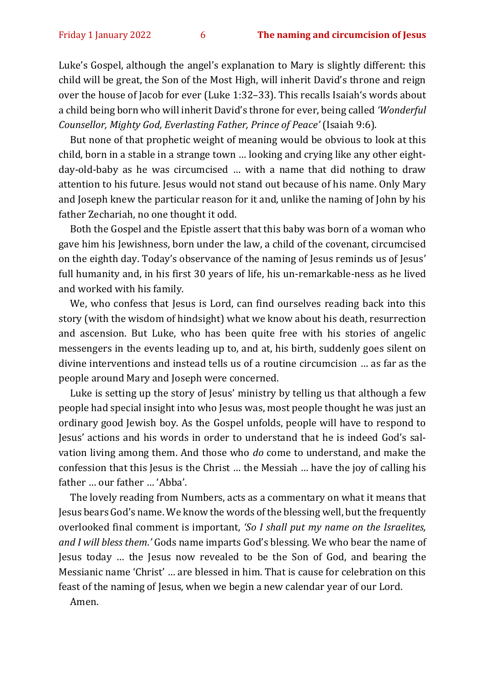Luke's Gospel, although the angel's explanation to Mary is slightly different: this child will be great, the Son of the Most High, will inherit David's throne and reign over the house of Jacob for ever (Luke 1:32–33). This recalls Isaiah's words about a child being born who will inherit David's throne for ever, being called *'Wonderful Counsellor, Mighty God, Everlasting Father, Prince of Peace'* (Isaiah 9:6).

But none of that prophetic weight of meaning would be obvious to look at this child, born in a stable in a strange town … looking and crying like any other eightday-old-baby as he was circumcised … with a name that did nothing to draw attention to his future. Jesus would not stand out because of his name. Only Mary and Joseph knew the particular reason for it and, unlike the naming of John by his father Zechariah, no one thought it odd.

Both the Gospel and the Epistle assert that this baby was born of a woman who gave him his Jewishness, born under the law, a child of the covenant, circumcised on the eighth day. Today's observance of the naming of Jesus reminds us of Jesus' full humanity and, in his first 30 years of life, his un-remarkable-ness as he lived and worked with his family.

We, who confess that Jesus is Lord, can find ourselves reading back into this story (with the wisdom of hindsight) what we know about his death, resurrection and ascension. But Luke, who has been quite free with his stories of angelic messengers in the events leading up to, and at, his birth, suddenly goes silent on divine interventions and instead tells us of a routine circumcision … as far as the people around Mary and Joseph were concerned.

Luke is setting up the story of Jesus' ministry by telling us that although a few people had special insight into who Jesus was, most people thought he was just an ordinary good Jewish boy. As the Gospel unfolds, people will have to respond to Jesus' actions and his words in order to understand that he is indeed God's salvation living among them. And those who *do* come to understand, and make the confession that this Jesus is the Christ … the Messiah … have the joy of calling his father … our father … 'Abba'.

The lovely reading from Numbers, acts as a commentary on what it means that Jesus bears God's name. We know the words of the blessing well, but the frequently overlooked final comment is important, *'So I shall put my name on the Israelites, and I will bless them*.*'* Gods name imparts God's blessing. We who bear the name of Jesus today … the Jesus now revealed to be the Son of God, and bearing the Messianic name 'Christ' … are blessed in him. That is cause for celebration on this feast of the naming of Jesus, when we begin a new calendar year of our Lord.

Amen.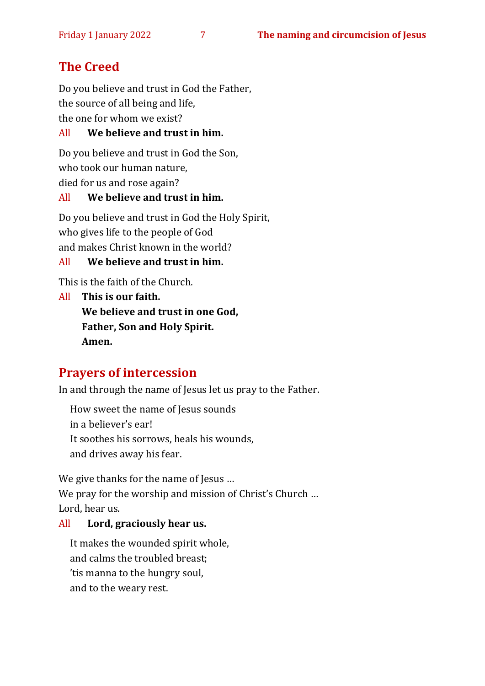# **The Creed**

Do you believe and trust in God the Father, the source of all being and life, the one for whom we exist?

All **We believe and trust in him.**

Do you believe and trust in God the Son, who took our human nature, died for us and rose again?

# All **We believe and trust in him.**

Do you believe and trust in God the Holy Spirit, who gives life to the people of God and makes Christ known in the world?

#### All **We believe and trust in him.**

This is the faith of the Church.

All **This is our faith. We believe and trust in one God, Father, Son and Holy Spirit. Amen.**

# **Prayers of intercession**

In and through the name of Jesus let us pray to the Father.

How sweet the name of Jesus sounds in a believer's ear! It soothes his sorrows, heals his wounds, and drives away his fear.

We give thanks for the name of Jesus ... We pray for the worship and mission of Christ's Church ... Lord, hear us.

## All **Lord, graciously hear us.**

It makes the wounded spirit whole, and calms the troubled breast; 'tis manna to the hungry soul, and to the weary rest.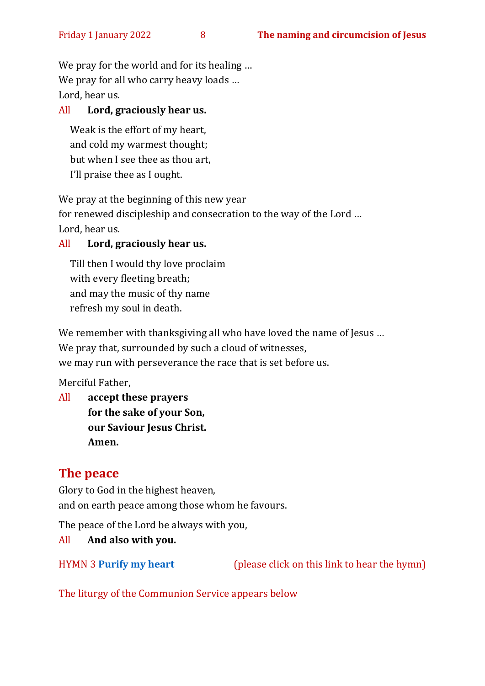We pray for the world and for its healing ... We pray for all who carry heavy loads ... Lord, hear us.

#### All **Lord, graciously hear us.**

Weak is the effort of my heart, and cold my warmest thought; but when I see thee as thou art, I'll praise thee as I ought.

We pray at the beginning of this new year

for renewed discipleship and consecration to the way of the Lord … Lord, hear us.

#### All **Lord, graciously hear us.**

Till then I would thy love proclaim with every fleeting breath; and may the music of thy name refresh my soul in death.

We remember with thanksgiving all who have loved the name of Jesus ... We pray that, surrounded by such a cloud of witnesses, we may run with perseverance the race that is set before us.

Merciful Father,

All **accept these prayers for the sake of your Son, our Saviour Jesus Christ. Amen.**

## **The peace**

Glory to God in the highest heaven, and on earth peace among those whom he favours.

The peace of the Lord be always with you,

#### All **And also with you.**

HYMN 3 **[Purify](https://www.youtube.com/watch?v=0IvXA0yRDwY) my heart** (please click on this link to hear the hymn)

The liturgy of the Communion Service appears below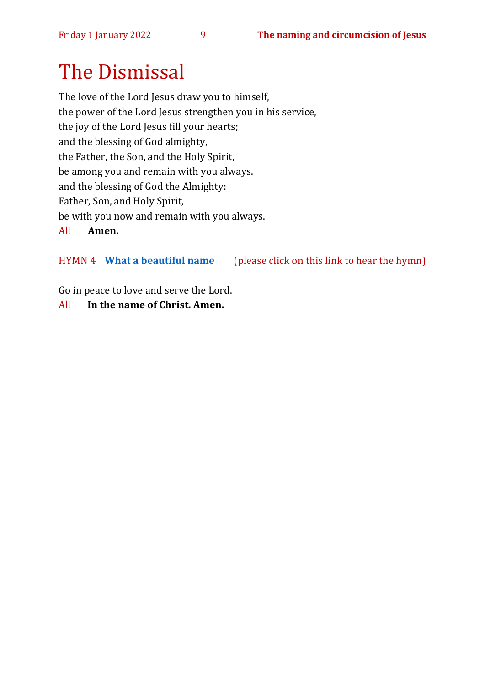# The Dismissal

The love of the Lord Jesus draw you to himself, the power of the Lord Jesus strengthen you in his service, the joy of the Lord Jesus fill your hearts; and the blessing of God almighty, the Father, the Son, and the Holy Spirit, be among you and remain with you always. and the blessing of God the Almighty: Father, Son, and Holy Spirit, be with you now and remain with you always. All **Amen.**

#### HYMN 4 **[What a beautiful name](https://www.youtube.com/watch?v=nQWFzMvCfLE)** (please click on this link to hear the hymn)

Go in peace to love and serve the Lord.

#### All **In the name of Christ. Amen.**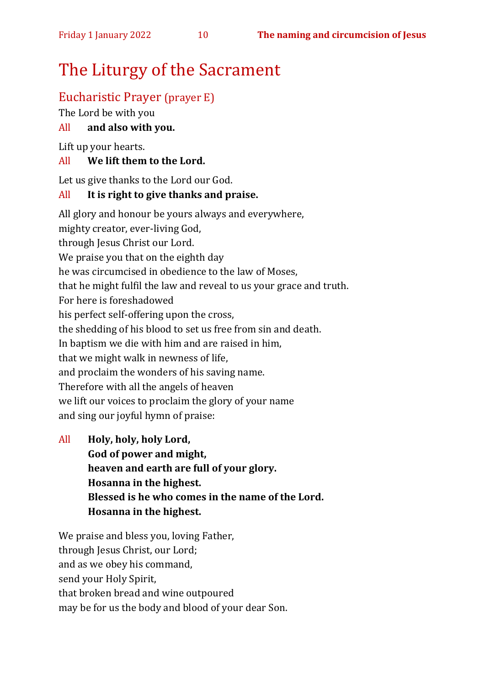# The Liturgy of the Sacrament

# Eucharistic Prayer (prayer E)

The Lord be with you

#### All **and also with you.**

Lift up your hearts.

#### All **We lift them to the Lord.**

Let us give thanks to the Lord our God.

#### All **It is right to give thanks and praise.**

All glory and honour be yours always and everywhere, mighty creator, ever-living God, through Jesus Christ our Lord. We praise you that on the eighth day he was circumcised in obedience to the law of Moses, that he might fulfil the law and reveal to us your grace and truth. For here is foreshadowed his perfect self-offering upon the cross, the shedding of his blood to set us free from sin and death. In baptism we die with him and are raised in him, that we might walk in newness of life, and proclaim the wonders of his saving name. Therefore with all the angels of heaven we lift our voices to proclaim the glory of your name and sing our joyful hymn of praise:

All **Holy, holy, holy Lord, God of power and might, heaven and earth are full of your glory. Hosanna in the highest. Blessed is he who comes in the name of the Lord. Hosanna in the highest.**

We praise and bless you, loving Father, through Jesus Christ, our Lord; and as we obey his command, send your Holy Spirit, that broken bread and wine outpoured may be for us the body and blood of your dear Son.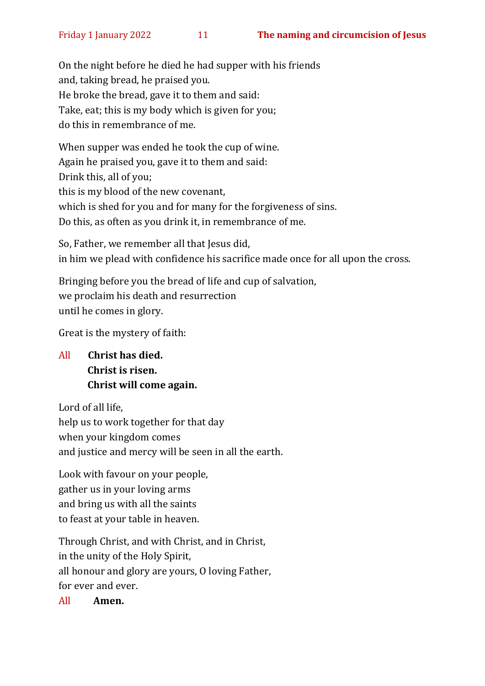On the night before he died he had supper with his friends and, taking bread, he praised you. He broke the bread, gave it to them and said: Take, eat; this is my body which is given for you; do this in remembrance of me.

When supper was ended he took the cup of wine. Again he praised you, gave it to them and said: Drink this, all of you; this is my blood of the new covenant, which is shed for you and for many for the forgiveness of sins. Do this, as often as you drink it, in remembrance of me.

So, Father, we remember all that Jesus did, in him we plead with confidence his sacrifice made once for all upon the cross.

Bringing before you the bread of life and cup of salvation, we proclaim his death and resurrection until he comes in glory.

Great is the mystery of faith:

All **Christ has died. Christ is risen. Christ will come again.**

Lord of all life,

help us to work together for that day when your kingdom comes and justice and mercy will be seen in all the earth.

Look with favour on your people, gather us in your loving arms and bring us with all the saints to feast at your table in heaven.

Through Christ, and with Christ, and in Christ, in the unity of the Holy Spirit, all honour and glory are yours, O loving Father, for ever and ever.

All **Amen.**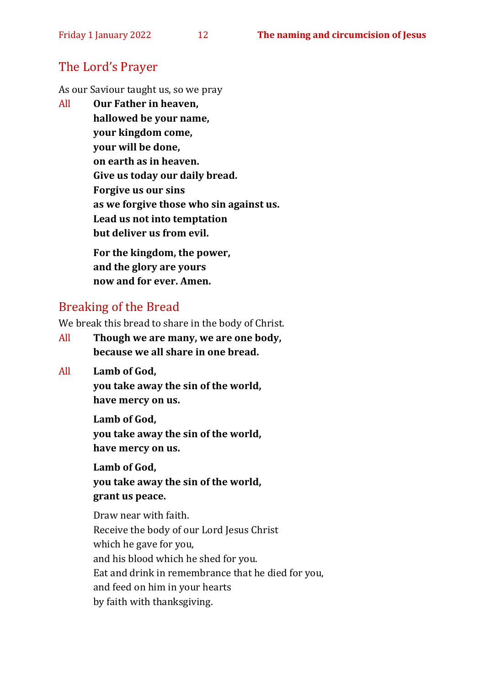## The Lord's Prayer

As our Saviour taught us, so we pray

All **Our Father in heaven, hallowed be your name, your kingdom come, your will be done, on earth as in heaven. Give us today our daily bread. Forgive us our sins as we forgive those who sin against us. Lead us not into temptation but deliver us from evil. For the kingdom, the power,** 

**and the glory are yours now and for ever. Amen.**

# Breaking of the Bread

We break this bread to share in the body of Christ.

- All **Though we are many, we are one body, because we all share in one bread.**
- All **Lamb of God,**

**you take away the sin of the world, have mercy on us.**

**Lamb of God, you take away the sin of the world, have mercy on us.**

**Lamb of God, you take away the sin of the world, grant us peace.**

Draw near with faith. Receive the body of our Lord Jesus Christ which he gave for you, and his blood which he shed for you. Eat and drink in remembrance that he died for you, and feed on him in your hearts by faith with thanksgiving.